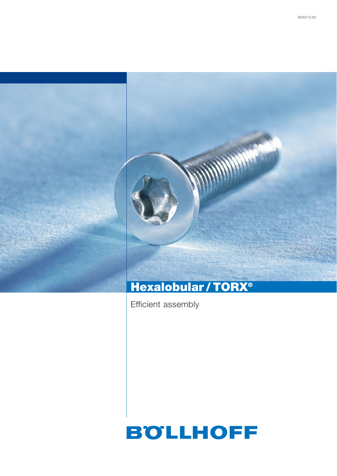

Efficient assembly

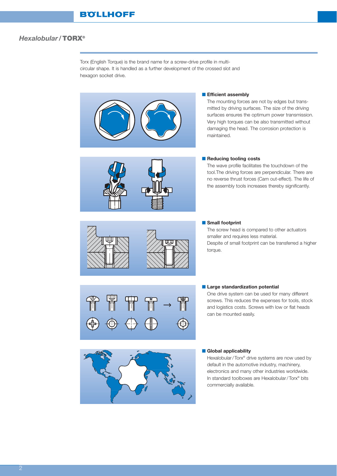Torx (English Torque) is the brand name for a screw-drive profile in multicircular shape. It is handled as a further development of the crossed slot and hexagon socket drive.



#### ■ **Efficient assembly**

The mounting forces are not by edges but transmitted by driving surfaces. The size of the driving surfaces ensures the optimum power transmission. Very high torques can be also transmitted without damaging the head. The corrosion protection is maintained.



### ■ **Reducing tooling costs**

The wave profile facilitates the touchdown of the tool.The driving forces are perpendicular. There are no reverse thrust forces (Cam out-effect). The life of the assembly tools increases thereby significantly.





#### ■ **Small footprint**

The screw head is compared to other actuators smaller and requires less material. Despite of small footprint can be transferred a higher torque.



#### ■ Large standardization potential

One drive system can be used for many different screws. This reduces the expenses for tools, stock and logistics costs. Screws with low or flat heads can be mounted easily.



## ■ **Global applicability**

Hexalobular /Torx® drive systems are now used by default in the automotive industry, machinery, electronics and many other industries worldwide. In standard toolboxes are Hexalobular /Torx® bits commercially available.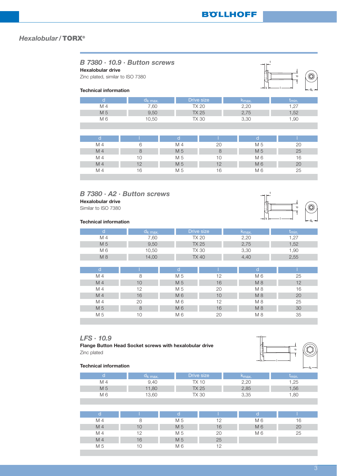| B 7380 · 10.9 · Button screws<br><b>Hexalobular drive</b><br>Zinc plated, similar to ISO 7380<br>$\mathbf \sigma$<br><b>Technical information</b><br>$\leftarrow$ d <sub>k</sub> $\rightarrow$ |            |     |              |                    |            |  |  |  |  |
|------------------------------------------------------------------------------------------------------------------------------------------------------------------------------------------------|------------|-----|--------------|--------------------|------------|--|--|--|--|
| d                                                                                                                                                                                              | $d_k$ max. |     | Drive size   | k <sub>max</sub> . | $t_{min.}$ |  |  |  |  |
| M 4                                                                                                                                                                                            | 7,60       |     | <b>TX 20</b> | 2,20               | 1,27       |  |  |  |  |
| M 5                                                                                                                                                                                            | 9,50       |     | <b>TX 25</b> | 2,75               | 1,52       |  |  |  |  |
| M 6                                                                                                                                                                                            | 10,50      |     | <b>TX 30</b> | 3,30               | 1,90       |  |  |  |  |
| d                                                                                                                                                                                              |            | d   |              | d                  |            |  |  |  |  |
|                                                                                                                                                                                                | 6          |     |              |                    |            |  |  |  |  |
| M 4                                                                                                                                                                                            |            | M 4 | 20           | M 5                | 20         |  |  |  |  |
| M <sub>4</sub>                                                                                                                                                                                 | 8          | M 5 | 8            | M 5                | 25         |  |  |  |  |
| M 4                                                                                                                                                                                            | 10         | M 5 | 10           | M 6                | 16         |  |  |  |  |
| M <sub>4</sub>                                                                                                                                                                                 | 12         | M 5 | 12           | M 6                | 20         |  |  |  |  |
| M 4                                                                                                                                                                                            | 16         | M 5 | 16           | M <sub>6</sub>     | 25         |  |  |  |  |
|                                                                                                                                                                                                |            |     |              |                    |            |  |  |  |  |

## *B 7380 · A2 · Button screws* **Hexalobular drive**

Similar to ISO 7380

## **Technical information**

|     | u <sub>k max.</sub> | Drive size   | Kmax. | I <sub>min.</sub> |
|-----|---------------------|--------------|-------|-------------------|
| M 4 | .60                 | TX 20        | 2,20  | $-$               |
| M 5 | 9,50                | TX 25        | 2,75  | .52               |
| M 6 | 10,50               | TX 30        | 3,30  | 90, ا             |
| M 8 | 14,00               | <b>TX 40</b> | 4.4C  | 2,55              |

| d              |    |     |    | d   |    |
|----------------|----|-----|----|-----|----|
| M 4            | 8  | M 5 | 12 | M 6 | 25 |
| M 4            | 10 | M 5 | 16 | M 8 | 12 |
| M 4            | 12 | M 5 | 20 | M 8 | 16 |
| M <sub>4</sub> | 16 | M 6 | 10 | M8  | 20 |
| M 4            | 20 | M 6 | 12 | M8  | 25 |
| M 5            | 8  | M 6 | 16 | M 8 | 30 |
| M 5            | 10 | M 6 | 20 | M8  | 35 |

## *LFS · 10.9*

**Flange Button Head Socket screws with hexalobular drive** Zinc plated



|     | k max.' | rive size            | ∿max.         | $I_{min}$ |
|-----|---------|----------------------|---------------|-----------|
| M 4 | 9.40    | $\overline{a}$<br>TХ | חה ה<br>ے . ک | $\cap$    |
| M 5 | 11,80   | TX 25                | 2,85          | .56       |
| M 6 | 13,60   | TX 30                | 3,35          | .UU       |

|                |    |     |    | O   |    |
|----------------|----|-----|----|-----|----|
| M 4            |    | M 5 | 12 | M 6 | 16 |
| M <sub>4</sub> | 10 | M 5 | 16 | M 6 | 20 |
| M 4            | 12 | M 5 | 20 | M 6 | 25 |
| M 4            | 16 | M 5 | 25 |     |    |
| M 5            | 10 | M 6 | 12 |     |    |

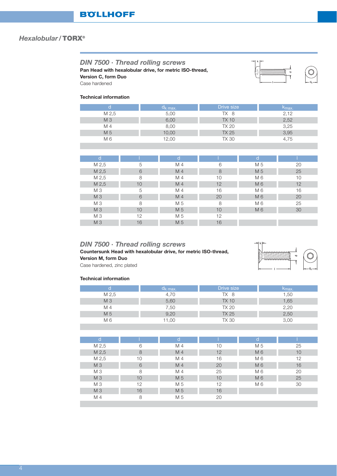| DIN 7500 · Thread rolling screws<br>Version C, form Duo<br>Case hardened<br><b>Technical information</b> |          | Pan Head with hexalobular drive, for metric ISO-thread, |              |     | ಾ                  |  |
|----------------------------------------------------------------------------------------------------------|----------|---------------------------------------------------------|--------------|-----|--------------------|--|
| d                                                                                                        |          | $d_k$ max.                                              | Drive size   |     | K <sub>max</sub> . |  |
| M 2,5                                                                                                    |          | 5,00                                                    | TX 8         |     | 2,12               |  |
| M 3                                                                                                      |          | 6,00                                                    | <b>TX 10</b> |     | 2,52               |  |
| M 4                                                                                                      |          | 8,00                                                    | TX 20        |     | 3,25               |  |
| M 5                                                                                                      |          | 10,00                                                   | <b>TX 25</b> |     | 3,95               |  |
| M <sub>6</sub>                                                                                           |          | 12,00                                                   | TX 30        |     | 4,75               |  |
|                                                                                                          |          |                                                         |              |     |                    |  |
|                                                                                                          |          |                                                         |              |     |                    |  |
| d                                                                                                        |          | d                                                       |              | d   |                    |  |
| M 2,5                                                                                                    | 5        | M 4                                                     | 6            | M 5 | 20                 |  |
| M 2,5                                                                                                    | 6        | M <sub>4</sub>                                          | 8            | M 5 | 25                 |  |
| $M \Omega$                                                                                               | $\Omega$ | MAA                                                     | $1 \cap$     | MAG | $1^{\circ}$        |  |

| M 2,5          | 6  | M 4 |    | M 5 | 25 |  |
|----------------|----|-----|----|-----|----|--|
| M 2,5          | 8  | M 4 | 10 | M 6 | 10 |  |
| M 2,5          | 10 | M 4 | 12 | M 6 | 12 |  |
| M <sub>3</sub> | 5  | M 4 | 16 | M 6 | 16 |  |
| M <sub>3</sub> | 6  | M 4 | 20 | M 6 | 20 |  |
| M <sub>3</sub> | 8  | M 5 | 8  | M 6 | 25 |  |
| M 3            | 10 | M 5 | 10 | M 6 | 30 |  |
| M <sub>3</sub> | 12 | M 5 | 12 |     |    |  |
| M 3            | 16 | M 5 | 16 |     |    |  |
|                |    |     |    |     |    |  |

## *DIN 7500 · Thread rolling screws*

**Countersunk Head with hexalobular drive, for metric ISO-thread, Version M, form Duo** Case hardened, zinc plated



#### **Technical information**

I

|                | ¤к max. | Drive size   | Kmax. |
|----------------|---------|--------------|-------|
| M 2.5          | 4.70    | TX 8         | 1,50  |
| M <sub>3</sub> | 5,60    | <b>TX 10</b> | 1,65  |
| M 4            | 7,50    | TX 20        | 2,20  |
| M 5            | 9,20    | <b>TX 25</b> | 2,50  |
| M 6            | 1,00    | TX 30        | 3,00  |

| d              |    | d              |    | d   |    |
|----------------|----|----------------|----|-----|----|
| M 2,5          | 6  | M 4            | 10 | M 5 | 25 |
| M 2,5          | 8  | M 4            | 12 | M 6 | 10 |
| M 2,5          | 10 | M <sub>4</sub> | 16 | M 6 | 12 |
| M <sub>3</sub> | 6  | M 4            | 20 | M 6 | 16 |
| M <sub>3</sub> | 8  | M 4            | 25 | M 6 | 20 |
| M 3            | 10 | M 5            | 10 | M 6 | 25 |
| M <sub>3</sub> | 12 | M 5            | 12 | M 6 | 30 |
| M 3            | 16 | M 5            | 16 |     |    |
| M 4            | 8  | M 5            | 20 |     |    |
|                |    |                |    |     |    |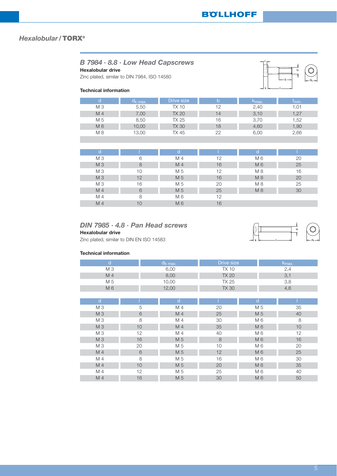| <b>Hexalobular drive</b><br><b>Technical information</b> | B 7984 · 8.8 · Low Head Capscrews<br>Zinc plated, similar to DIN 7984, ISO 14580 | ╼                 | $\mathbf \sigma$<br>— b – |                  |            |
|----------------------------------------------------------|----------------------------------------------------------------------------------|-------------------|---------------------------|------------------|------------|
| d                                                        | $d_k$ <sub>max.</sub>                                                            | <b>Drive size</b> | $\mathbf b$               | $k_{\text{max}}$ | $t_{min.}$ |
| M <sub>3</sub>                                           | 5,50                                                                             | <b>TX 10</b>      | 12                        | 2,40             | 1,01       |
| M 4                                                      | 7,00                                                                             | <b>TX 20</b>      | 14                        | 3,10             | 1,27       |
| M 5                                                      | 8,50                                                                             | TX 25             | 16                        | 3,70             | 1,52       |
| M 6                                                      | 10,00                                                                            | <b>TX 30</b>      | 18                        | 4,60             | 1,90       |
| M 8                                                      | 13,00                                                                            | TX 45             | 22                        | 6,00             | 2,66       |
|                                                          |                                                                                  |                   |                           |                  |            |
|                                                          |                                                                                  |                   |                           |                  |            |
| d                                                        |                                                                                  | d                 |                           | d                |            |
| M <sub>3</sub>                                           | 6                                                                                | M <sub>4</sub>    | 12                        | M 6              | 20         |
| M <sub>3</sub>                                           | 8                                                                                | M <sub>4</sub>    | 16                        | M 6              | 25         |
| M <sub>3</sub>                                           | 10                                                                               | M 5               | 12                        | M 8              | 16         |
| M 3                                                      | 12                                                                               | M 5               | 16                        | M 8              | 20         |
| M <sub>3</sub>                                           | 16                                                                               | M 5               | 20                        | M 8              | 25         |
| M 4                                                      | 6                                                                                | M 5               | 25                        | M 8              | 30         |
| M 4                                                      | 8                                                                                | M 6               | 12                        |                  |            |
| M 4                                                      | 10                                                                               | M 6               | 16                        |                  |            |

## *DIN 7985 · 4.8 · Pan Head screws*

**Hexalobular drive**

Zinc plated, similar to DIN EN ISO 14583

#### **Technical information**

| $\mathsf{d}$   |    | $d_k$ max.   | Drive size   |                | k <sub>max.</sub> |
|----------------|----|--------------|--------------|----------------|-------------------|
| M <sub>3</sub> |    | 6,00         | <b>TX 10</b> |                | 2,4               |
| M 4            |    | 8,00         | <b>TX 20</b> |                | 3,1               |
| M 5            |    | 10,00        | <b>TX 25</b> |                | 3,8               |
| M 6            |    | 12,00        | <b>TX 30</b> |                | 4,6               |
|                |    |              |              |                |                   |
| $\mathsf{d}$   |    | $\mathsf{d}$ |              | $\mathsf{d}$   |                   |
| M <sub>3</sub> | 5  | M 4          | 20           | M 5            | 35                |
| M 3            | 6  | M 4          | 25           | M 5            | 40                |
| M <sub>3</sub> | 8  | M 4          | 30           | M 6            | 8                 |
| M <sub>3</sub> | 10 | M 4          | 35           | M 6            | 10                |
| M <sub>3</sub> | 12 | M 4          | 40           | M 6            | 12                |
| M 3            | 16 | M 5          | 8            | M 6            | 16                |
| M <sub>3</sub> | 20 | M 5          | 10           | M 6            | 20                |
| M 4            | 6  | M 5          | 12           | M 6            | 25                |
| M 4            | 8  | M 5          | 16           | M 6            | 30                |
| M 4            | 10 | M 5          | 20           | M 6            | 35                |
| M 4            | 12 | M 5          | 25           | M 6            | 40                |
| M 4            | 16 | M 5          | 30           | M <sub>6</sub> | 50                |

dk

 $\frac{1}{7}$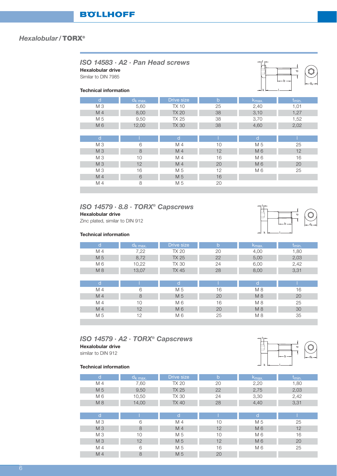| $ISO$ 14583 $·$ A2 $·$ Pan Head screws<br>Hexalobular drive<br>$\sigma$<br>Similar to DIN 7985<br>$-$ b $-$<br>$-d_k -$<br><b>Technical information</b><br>$\rightarrow$ k |            |                   |             |                  |                   |  |  |
|----------------------------------------------------------------------------------------------------------------------------------------------------------------------------|------------|-------------------|-------------|------------------|-------------------|--|--|
| d                                                                                                                                                                          | $d_k$ max. | <b>Drive size</b> | $\mathbf b$ | $k_{\text{max}}$ | t <sub>min.</sub> |  |  |
| M 3                                                                                                                                                                        | 5,60       | <b>TX10</b>       | 25          | 2,40             | 1,01              |  |  |
| M <sub>4</sub>                                                                                                                                                             | 8,00       | TX 20             | 38          | 3,10             | 1,27              |  |  |
| M 5                                                                                                                                                                        | 9,50       | TX 25             | 38          | 3,70             | 1,52              |  |  |
| M 6                                                                                                                                                                        | 12,00      | <b>TX 30</b>      | 38          | 4,60             | 2,02              |  |  |
|                                                                                                                                                                            |            |                   |             |                  |                   |  |  |
| d                                                                                                                                                                          |            | d                 |             | d                |                   |  |  |
| M 3                                                                                                                                                                        | 6          | M 4               | 10          | M 5              | 25                |  |  |
| M <sub>3</sub>                                                                                                                                                             | 8          | M <sub>4</sub>    | 12          | M 6              | 12                |  |  |
| M 3                                                                                                                                                                        | 10         | M 4               | 16          | M 6              | 16                |  |  |
| M 3                                                                                                                                                                        | 12         | M <sub>4</sub>    | 20          | M 6              | 20                |  |  |
| M 3                                                                                                                                                                        | 16         | M 5               | 12          | M 6              | 25                |  |  |
| M <sub>4</sub>                                                                                                                                                             | 6          | M 5               | 16          |                  |                   |  |  |
| M 4                                                                                                                                                                        | 8          | M 5               | 20          |                  |                   |  |  |

## *ISO 14579 · 8.8 · TORX® Capscrews* **Hexalobular drive**

Zinc plated, similar to DIN 912



#### **Technical information**

| d              | $d_k$ max. | Drive size   | $\mathsf b$ | k <sub>max.</sub> | t <sub>min.</sub> |
|----------------|------------|--------------|-------------|-------------------|-------------------|
| M 4            | 7,22       | <b>TX 20</b> | 20          | 4,00              | 1,80              |
| M 5            | 8,72       | <b>TX 25</b> | 22          | 5,00              | 2,03              |
| M 6            | 10,22      | <b>TX 30</b> | 24          | 6,00              | 2,42              |
| M 8            | 13,07      | <b>TX 45</b> | 28          | 8,00              | 3,31              |
|                |            |              |             |                   |                   |
| d              |            | n            |             | d                 |                   |
| M 4            | 6          | M 5          | 16          | M 8               | 16                |
| M 4            | 8          | M 5          | 20          | M 8               | 20                |
| M 4            | 10         | M 6          | 16          | M 8               | 25                |
| M <sub>4</sub> | 12         | M 6          | 20          | M 8               | 30                |
| M 5            | 12         | M 6          | 25          | M 8               | 35                |

## *ISO 14579 · A2 · TORX® Capscrews* **Hexalobular drive**

similar to DIN 912

| d              | d <sub>k max</sub> . | Drive size     | $\mathbf b$ | K <sub>max</sub> | t <sub>min.</sub> |
|----------------|----------------------|----------------|-------------|------------------|-------------------|
| M 4            | 7,60                 | <b>TX 20</b>   | 20          | 2,20             | 1,80              |
| M 5            | 9,50                 | <b>TX 25</b>   | 22          | 2,75             | 2,03              |
| M 6            | 10,50                | <b>TX 30</b>   | 24          | 3,30             | 2,42              |
| M 8            | 14,00                | <b>TX 40</b>   | 28          | 4,40             | 3,31              |
|                |                      |                |             |                  |                   |
| d              |                      | d              |             | d                |                   |
| M <sub>3</sub> | 6                    | M 4            | 10          | M 5              | 25                |
| M <sub>3</sub> | 8                    | M <sub>4</sub> | 12          | M 6              | 12                |
| M <sub>3</sub> | 10                   | M 5            | 10          | M 6              | 16                |
| M <sub>3</sub> | 12                   | M 5            | 12          | M 6              | 20                |
| M 4            | 6                    | M 5            | 16          | M 6              | 25                |
| M <sub>4</sub> | 8                    | M 5            | 20          |                  |                   |

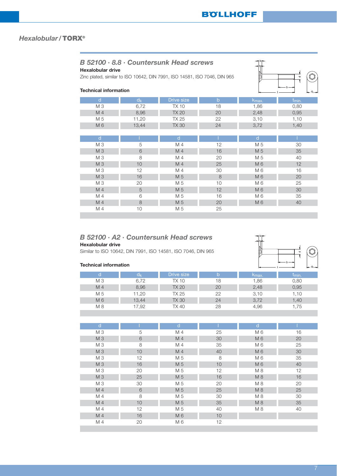# *B 52100 · 8.8 · Countersunk Head screws*

## **Hexalobular drive**

Zinc plated, similar to ISO 10642, DIN 7991, ISO 14581, ISO 7046, DIN 965



## **Technical information**

| d              | $d_{k}$ | Drive size   | $\mathsf{b}$ | K <sub>max.</sub> | t <sub>min.</sub> |
|----------------|---------|--------------|--------------|-------------------|-------------------|
| M <sub>3</sub> | 6,72    | <b>TX10</b>  | 18           | 1,86              | 0,80              |
| M 4            | 8,96    | <b>TX 20</b> | 20           | 2,48              | 0,95              |
| M 5            | 11,20   | <b>TX 25</b> | 22           | 3,10              | 1,10              |
| M6             | 13,44   | <b>TX 30</b> | 24           | 3,72              | 1,40              |
|                |         |              |              |                   |                   |
| $\mathsf{d}$   |         | $\mathsf{d}$ |              | d                 |                   |
| M <sub>3</sub> | 5       | M 4          | 12           | M 5               | 30                |
| M 3            | 6       | M 4          | 16           | M 5               | 35                |
| M 3            | 8       | M 4          | 20           | M 5               | 40                |
| M 3            | 10      | M 4          | 25           | M <sub>6</sub>    | 12                |
| M <sub>3</sub> | 12      | M 4          | 30           | M 6               | 16                |
| M 3            | 16      | M 5          | 8            | M 6               | 20                |
| M <sub>3</sub> | 20      | M 5          | 10           | M 6               | 25                |
| M 4            | 5       | M 5          | 12           | M 6               | 30                |
| M 4            | 6       | M 5          | 16           | M 6               | 35                |
| M 4            | 8       | M 5          | 20           | M 6               | 40                |
| M 4            | 10      | M 5          | 25           |                   |                   |
|                |         |              |              |                   |                   |

## *B 52100 · A2 · Countersunk Head screws*

### **Hexalobular drive**

Similar to ISO 10642, DIN 7991, ISO 14581, ISO 7046, DIN 965



| d              |    | d              |    | d              |    |
|----------------|----|----------------|----|----------------|----|
| M <sub>3</sub> | 5  | M 4            | 25 | M 6            | 16 |
| M 3            | 6  | M <sub>4</sub> | 30 | M 6            | 20 |
| M 3            | 8  | M 4            | 35 | M 6            | 25 |
| M 3            | 10 | M <sub>4</sub> | 40 | M 6            | 30 |
| M 3            | 12 | M 5            | 8  | M <sub>6</sub> | 35 |
| M 3            | 16 | M 5            | 10 | M 6            | 40 |
| M 3            | 20 | M 5            | 12 | M 8            | 12 |
| M 3            | 25 | M 5            | 16 | M 8            | 16 |
| M <sub>3</sub> | 30 | M 5            | 20 | M 8            | 20 |
| M 4            | 6  | M 5            | 25 | M 8            | 25 |
| M 4            | 8  | M 5            | 30 | M 8            | 30 |
| M 4            | 10 | M 5            | 35 | M 8            | 35 |
| M 4            | 12 | M 5            | 40 | M 8            | 40 |
| M <sub>4</sub> | 16 | M 6            | 10 |                |    |
| M 4            | 20 | M 6            | 12 |                |    |

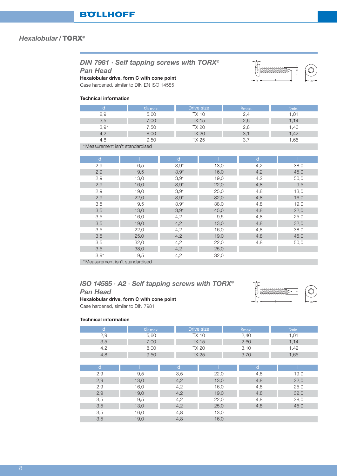# *DIN 7981 · Self tapping screws with TORX®*

*Pan Head*

## **Hexalobular drive, form C with cone point**

Case hardened, similar to DIN EN ISO 14585

#### **Technical information**

| u <sub>k max.</sub> | Drive size | ∿max. | <b>Imin.</b> |
|---------------------|------------|-------|--------------|
| 5,60                | TX 10      | 2,4   |              |
| $^{\prime}.00$      | TX 15      | 2,6   | . 14         |
| .50                 | TX 20      | 2,8   | .40          |
| 8,00                | TX 20      | 3,1   | 1,42         |
| 9,50                | TX 25      |       | .65          |
|                     |            |       |              |

\*Measurement isn't standardised

| d      |      | d       |      | d   |      |
|--------|------|---------|------|-----|------|
| 2,9    | 6,5  | $3,9*$  | 13,0 | 4,2 | 38,0 |
| 2,9    | 9,5  | $3,9*$  | 16,0 | 4,2 | 45,0 |
| 2,9    | 13,0 | $3,9*$  | 19,0 | 4,2 | 50,0 |
| 2,9    | 16,0 | $3,9*$  | 22,0 | 4,8 | 9,5  |
| 2,9    | 19,0 | $3,9*$  | 25,0 | 4,8 | 13,0 |
| 2,9    | 22,0 | $3,9^*$ | 32,0 | 4,8 | 16,0 |
| 3,5    | 9,5  | $3,9*$  | 38,0 | 4,8 | 19,0 |
| 3,5    | 13,0 | $3,9*$  | 45,0 | 4,8 | 22,0 |
| 3,5    | 16,0 | 4,2     | 9,5  | 4,8 | 25,0 |
| 3,5    | 19,0 | 4,2     | 13,0 | 4,8 | 32,0 |
| 3,5    | 22,0 | 4,2     | 16,0 | 4,8 | 38,0 |
| 3,5    | 25,0 | 4,2     | 19,0 | 4,8 | 45,0 |
| 3,5    | 32,0 | 4,2     | 22,0 | 4,8 | 50,0 |
| 3,5    | 38,0 | 4,2     | 25,0 |     |      |
| $3.9*$ | 9,5  | 4,2     | 32,0 |     |      |

\*Measurement isn't standardised

## *ISO 14585 · A2 · Self tapping screws with TORX® Pan Head*



l

a MANAMANAMA

dk

t

# Case hardened, similar to DIN 7981

**Hexalobular drive, form C with cone point**

|     | $a_{k}$ max. | Drive size   | Kmax. | <b>Imin.</b> |
|-----|--------------|--------------|-------|--------------|
| 2,9 | 5,60         | TX 10        | 2,40  | . U          |
| 3,5 | 7,00         | TX 15        | 2,60  | 1.14         |
| 4,2 | 8,00         | TX 20        | 3,10  | 1,42         |
| 4,8 | 9,50         | <b>TX 25</b> | 3,70  | ,65          |
|     |              |              |       |              |

| a   |      | d   |      | d   |      |
|-----|------|-----|------|-----|------|
| 2,9 | 9,5  | 3,5 | 22,0 | 4,8 | 19,0 |
| 2,9 | 13,0 | 4,2 | 13,0 | 4,8 | 22,0 |
| 2,9 | 16,0 | 4,2 | 16,0 | 4,8 | 25,0 |
| 2,9 | 19,0 | 4,2 | 19,0 | 4,8 | 32,0 |
| 3,5 | 9,5  | 4,2 | 22,0 | 4,8 | 38,0 |
| 3,5 | 13,0 | 4,2 | 25,0 | 4,8 | 45,0 |
| 3,5 | 16,0 | 4,8 | 13,0 |     |      |
| 3,5 | 19,0 | 4,8 | 16,0 |     |      |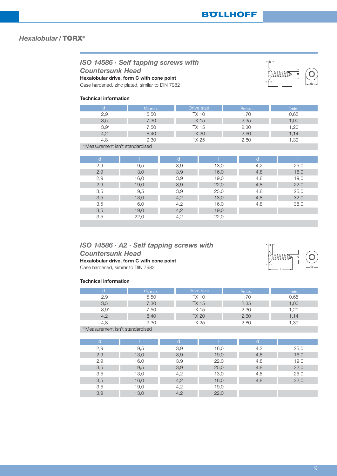*ISO 14586 · Self tapping screws with Countersunk Head* **Hexalobular drive, form C with cone point**

Case hardened, zinc plated, similar to DIN 7982

#### **Technical information**

|        | Uk max. | Drive size | Kmax. | Imin. |
|--------|---------|------------|-------|-------|
| 2,9    | 5,50    | TX 10      | .70   | 0.65  |
| 3,5    | 7,30    | TX 15      | 2,35  | ,00   |
| $3.9*$ | 7,50    | TX 15      | 2,30  | .20   |
| 4,2    | 8,40    | TX 20      | 2,60  | 1.14  |
| 4.8    | 9,30    | TX 25      | 2,80  | 1,39  |

\*Measurement isn't standardised

| d   |      |     |      | d   |      |
|-----|------|-----|------|-----|------|
| 2,9 | 9,5  | 3,9 | 13,0 | 4,2 | 25,0 |
| 2,9 | 13,0 | 3,9 | 16,0 | 4,8 | 16,0 |
| 2,9 | 16,0 | 3,9 | 19,0 | 4,8 | 19,0 |
| 2,9 | 19,0 | 3,9 | 22,0 | 4,8 | 22,0 |
| 3,5 | 9,5  | 3,9 | 25,0 | 4,8 | 25,0 |
| 3,5 | 13,0 | 4,2 | 13,0 | 4,8 | 32,0 |
| 3,5 | 16,0 | 4,2 | 16,0 | 4,8 | 38,0 |
| 3,5 | 19,0 | 4,2 | 19,0 |     |      |
| 3,5 | 22,0 | 4,2 | 22,0 |     |      |

# *ISO 14586 · A2 · Self tapping screws with Countersunk Head*

**Hexalobular drive, form C with cone point**

Case hardened, similar to DIN 7982

#### **Technical information**

|        | Uk max. | Drive size | ∿max. | <b>Umin.</b> |
|--------|---------|------------|-------|--------------|
| 2,9    | 5,50    | TX 10      | 1,70  | 0.65         |
| 3,5    | 7,30    | TX 15      | 2,35  | 1,00         |
| $3,9*$ | 7,50    | TX 15      | 2,30  | 1.20         |
|        | 8,40    | TX 20      | 2,60  | 1.14         |
| 4.8    | 9.30    | TX 25      | 2,80  | ,39          |

\*Measurement isn't standardised

| d   |      | d   |      | d   |      |
|-----|------|-----|------|-----|------|
| 2,9 | 9,5  | 3,9 | 16,0 | 4,2 | 25,0 |
| 2,9 | 13,0 | 3,9 | 19,0 | 4,8 | 16,0 |
| 2,9 | 16,0 | 3,9 | 22,0 | 4,8 | 19,0 |
| 3,5 | 9,5  | 3,9 | 25,0 | 4,8 | 22,0 |
| 3,5 | 13,0 | 4,2 | 13,0 | 4,8 | 25,0 |
| 3,5 | 16,0 | 4,2 | 16,0 | 4,8 | 32,0 |
| 3,5 | 19,0 | 4,2 | 19,0 |     |      |
| 3,9 | 13,0 | 4,2 | 22,0 |     |      |



l

≂

O

t dk

k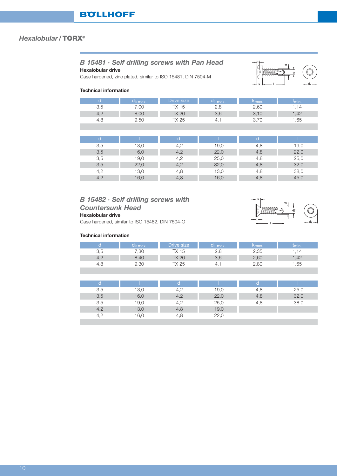# *B 15481 · Self drilling screws with Pan Head*

**Hexalobular drive**

Case hardened, zinc plated, similar to ISO 15481, DIN 7504-M



#### **Technical information**

|      | k max.        | )rive size | max.    | <b>Amax</b> | <b>Umin.</b> |
|------|---------------|------------|---------|-------------|--------------|
| U.U  | $\cap$<br>,UU | 10         | ت       | 2,60        | .14          |
| г, д | nr<br>U,UU    | TX 20      |         | U.          | .42          |
| 4.C  | 9.50          | V つよ       | ᅭ<br>т. | ັ           | .65          |

| d   |      | d   |      |     |      |
|-----|------|-----|------|-----|------|
| 3,5 | 13,0 | 4,2 | 19,0 | 4,8 | 19,0 |
| 3,5 | 16,0 | 4,2 | 22,0 | 4,8 | 22,0 |
| 3,5 | 19,0 | 4,2 | 25,0 | 4,8 | 25,0 |
| 3,5 | 22,0 | 4,2 | 32,0 | 4,8 | 32,0 |
| 4,2 | 13,0 | 4,8 | 13,0 | 4,8 | 38,0 |
| 4,2 | 16,0 | 4,8 | 16,0 | 4,8 | 45,0 |

# *B 15482 · Self drilling screws with Countersunk Head*

## **Hexalobular drive**

Case hardened, similar to ISO 15482, DIN 7504-O

|      | k max.         | Drive size      | 1 max.                | Kmax. | <b>Imin.</b> |
|------|----------------|-----------------|-----------------------|-------|--------------|
| 3,5  | $^{\cdot}$ .30 | 15<br>$\Lambda$ | $\sim$                | 2,35  | . 14         |
| т, д | 8,40           | <b>TX 20</b>    | ろし<br>$\cup$ , $\cup$ | 2,60  | .42          |
| 4,C  | 9,30           | X 25            | 4.                    | 2,80  | .65          |

| 3,5 | 13,C | 4,4 | 19,0 | 4,8 | 25,0 |
|-----|------|-----|------|-----|------|
| 3,5 | 16,0 | 4,2 | 22,0 | 4,8 | 32,0 |
| 3,5 | 19,0 | 4,2 | 25,0 | 4,8 | 38,0 |
| 4,2 | 13,0 | 4,8 | 19,0 |     |      |
| 4.2 | 6C   | 4.ŏ | 22.0 |     |      |

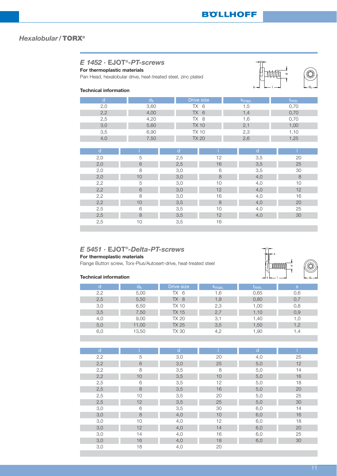| For thermoplastic materials<br><b>Technical information</b> | $E$ 1452 $\cdot$ EJOT®-PT-screws<br>Pan Head, hexalobular drive, heat-treated steel, zinc plated |              | $k \rightarrow$ | Δ<br>$\leftarrow$ d <sub>k</sub> $\rightarrow$ |                   |
|-------------------------------------------------------------|--------------------------------------------------------------------------------------------------|--------------|-----------------|------------------------------------------------|-------------------|
| d                                                           | $d_{k}$                                                                                          |              | Drive size      | k <sub>max</sub> .                             | t <sub>min.</sub> |
| 2,0                                                         | 3,60                                                                                             |              | TX 6            | 1,5                                            | 0,70              |
| 2,2                                                         | 4,00                                                                                             |              | TX <sub>6</sub> | 1,4                                            | 0,70              |
| 2,5                                                         | 4,20                                                                                             |              | TX 8            | 1,6                                            | 0,70              |
| 3,0                                                         | 5,60                                                                                             |              | <b>TX 10</b>    | 2,1                                            | 1,00              |
| 3,5                                                         | 6,90                                                                                             |              | <b>TX 10</b>    | 2,3                                            | 1,10              |
| 4,0                                                         | 7,50                                                                                             |              | <b>TX 20</b>    | 2,6                                            | 1,25              |
|                                                             |                                                                                                  |              |                 |                                                |                   |
| d                                                           |                                                                                                  | $\mathsf{d}$ |                 | d                                              |                   |
| 2,0                                                         | 5                                                                                                | 2,5          | 12              | 3,5                                            | 20                |
| 2,0                                                         | 6                                                                                                | 2,5          | 16              | 3,5                                            | 25                |
| 2,0                                                         | 8                                                                                                | 3,0          | 6               | 3,5                                            | 30                |
| 2,0                                                         | 10                                                                                               | 3,0          | 8               | 4,0                                            | 8                 |
| 2,2                                                         | 5                                                                                                | 3,0          | 10              | 4,0                                            | 10                |
| 2,2                                                         | 6                                                                                                | 3,0          | 12              | 4,0                                            | 12                |
| 2,2                                                         | 8                                                                                                | 3,0          | 16              | 4,0                                            | 16                |
| 2,2                                                         | 10                                                                                               | 3,5          | 8               | 4,0                                            | 20                |
| 2,5                                                         | 6                                                                                                | 3,5          | 10              | 4,0                                            | 25                |
| 2,5                                                         | 8                                                                                                | 3,5          | 12              | 4,0                                            | 30                |
| 2,5                                                         | 10                                                                                               | 3,5          | 16              |                                                |                   |

## *E 5451 ·* **EJOT®***-Delta-PT-screws*

## **For thermoplastic materials**

Flange Button screw, Torx-Plus/Autosert-drive, heat-treated steel

#### **Technical information**

|     | OI    | <b>Drive size</b> | ∿max. | <sup>լ</sup> min. | S    |
|-----|-------|-------------------|-------|-------------------|------|
| 2,2 | 5,00  | -6<br>TX          | .6    | 0,65              | 0.6  |
| 2,5 | 5,50  | TX 8              | 1,9   | 0,80              |      |
| 3,0 | 6,50  | TX 10             | 2,3   | 1.00              | 0,8  |
| 3,5 | 7,50  | TX 15             | 2,7   | 1,10              | 0,9  |
| 4,0 | 9,00  | TX 20             | 3,1   | .40               | .C   |
| 5,0 | 11,00 | TX 25             | 3,5   | 1,50              | 1,2  |
| 6,0 | 13,50 | TX 30             |       | .90               | 4, ا |

| $\mathsf{d}$ |    | d   |    | id' |    |
|--------------|----|-----|----|-----|----|
| 2,2          | 5  | 3,0 | 20 | 4,0 | 25 |
| 2,2          | 6  | 3,0 | 25 | 5,0 | 12 |
| 2,2          | 8  | 3,5 | 8  | 5,0 | 14 |
| 2,2          | 10 | 3,5 | 10 | 5,0 | 16 |
| 2,5          | 6  | 3,5 | 12 | 5,0 | 18 |
| 2,5          | 8  | 3,5 | 16 | 5,0 | 20 |
| 2,5          | 10 | 3,5 | 20 | 5,0 | 25 |
| 2,5          | 12 | 3,5 | 25 | 5,0 | 30 |
| 3,0          | 6  | 3,5 | 30 | 6,0 | 14 |
| 3,0          | 8  | 4,0 | 10 | 6,0 | 16 |
| 3,0          | 10 | 4,0 | 12 | 6,0 | 18 |
| 3,0          | 12 | 4,0 | 14 | 6,0 | 20 |
| 3,0          | 14 | 4,0 | 16 | 6,0 | 25 |
| 3,0          | 16 | 4,0 | 18 | 6,0 | 30 |
| 3,0          | 18 | 4,0 | 20 |     |    |

k l dk

ᅐ

s

t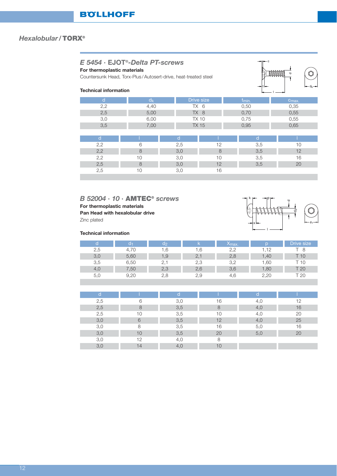# *E 5454 ·* **EJOT®***-Delta PT-screws*

**For thermoplastic materials**

Countersunk Head, Torx-Plus /Autosert-drive, heat-treated steel



## **Technical information**

| d   | $d_k$ |     | Drive size     | t <sub>min.</sub> | $c_{\text{max}}$ |
|-----|-------|-----|----------------|-------------------|------------------|
| 2,2 | 4,40  |     | $TX$ 6<br>0,50 |                   | 0,35             |
| 2,5 | 5,00  |     | TX 8           | 0,70              | 0,55             |
| 3,0 | 6,00  |     | <b>TX 10</b>   | 0,75              | 0,55             |
| 3,5 | 7,00  |     | <b>TX 15</b>   | 0,95              | 0,65             |
|     |       |     |                |                   |                  |
| d   |       | d   |                | d                 |                  |
| 2,2 | 6     | 2,5 | 12             | 3,5               | 10               |
| 2,2 | 8     | 3,0 | 8              | 3,5               | 12               |
| 2,2 | 10    | 3,0 | 10             | 3,5               | 16               |
| 2,5 | 8     | 3,0 | 12             | 3,5               | 20               |
| 2,5 | 10    | 3,0 | 16             |                   |                  |
|     |       |     |                |                   |                  |

# *B 52004 · 10 ·* **AMTEC®** *screws* **For thermoplastic materials Pan Head with hexalobular drive**

Zinc plated



|     | 63   | 00     |     | Amax.     |       | <b>Drive size</b> |
|-----|------|--------|-----|-----------|-------|-------------------|
| 2,5 | 4,70 | .6     | .6  | 2.2       | .12   |                   |
| 3,0 | 5,60 | l ,9   | 2.  | 2,8       | 40. ا | 10                |
| 3,5 | 6,50 | $\sim$ | 2,3 | つ<br>ے, ب | .60   | 10                |
| 4,0 | 7,50 | 2,3    | 2,6 | 3,6       | 1,80  | T 20              |
| 5(  | 9,20 | 2,8    | 2,9 | 4.6       | 2.20  | - 20              |

| а   |    |     |    | a   |    |
|-----|----|-----|----|-----|----|
| 2,5 | 6  | 3,0 | 16 | 4,0 | 12 |
| 2,5 | 8  | 3,5 | 8  | 4,0 | 16 |
| 2,5 | 10 | 3,5 | 10 | 4,0 | 20 |
| 3,0 | 6  | 3,5 | 12 | 4,0 | 25 |
| 3,0 | 8  | 3,5 | 16 | 5,0 | 16 |
| 3,0 | 10 | 3,5 | 20 | 5,0 | 20 |
| 3,0 | 12 | 4,0 | 8  |     |    |
| 3,0 | 14 | 4,0 | 10 |     |    |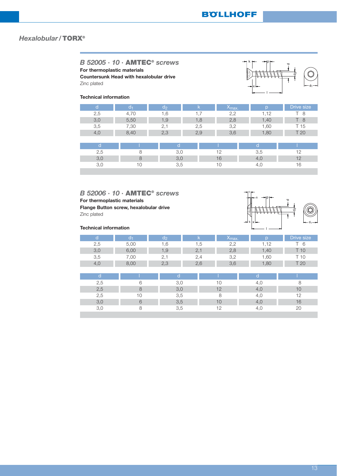x

 $k \mapsto -\blacksquare p$ 

l

d

 $\epsilon$ 

## *Hexalobular /***TORX®**

*B 52005 · 10 ·* **AMTEC®** *screws* **For thermoplastic materials Countersunk Head with hexalobular drive**

Zinc plated

#### **Technical information**

| d   | d1   | $d_2$ | k   | <b><sup>X</sup>max.</b> | n    | Drive size |
|-----|------|-------|-----|-------------------------|------|------------|
| 2,5 | 4,70 | 1.6   | 1.7 | 2,2                     | 1,12 | 8          |
| 3,0 | 5,50 | 1,9   | 1,8 | 2,8                     | 1,40 | 8          |
| 3,5 | 7,30 | 2,1   | 2,5 | 3,2                     | 1,60 | T 15       |
| 4,0 | 8,40 | 2,3   | 2,9 | 3,6                     | 1,80 | T 20       |
|     |      |       |     |                         |      |            |
| d   |      | d     |     |                         | d    |            |
| 2,5 | 8    | 3,0   |     | 12                      | 3,5  | 12         |
| 3,0 | 8    | 3,0   |     | 16                      | 4,0  | 12         |
| 3,0 | 10   | 3,5   |     | 10                      | 4,0  | 16         |

*B 52006 · 10 ·* **AMTEC®** *screws* **For thermoplastic materials Flange Button screw, hexalobular drive** Zinc plated

|                        | îΕ   | do                       |                          | ∧max. |                        | Drive size |
|------------------------|------|--------------------------|--------------------------|-------|------------------------|------------|
| $\cap$<br>2,5          | 5,00 | .0                       | c.                       |       | $\triangleq$           |            |
| $\circ$ $\circ$<br>しっし | 6,00 | । ,⊌                     | $\sim$                   | 2,8   | $\mathord{\text{.40}}$ | l C        |
| 3,5                    | 00,  | <u>_,</u>                | $\overline{\phantom{a}}$ |       | .60                    |            |
| 4.C                    | 8,00 | $\cap$ $\cap$<br>$\sim,$ | 2,6                      | 3,6   | $,80^{-}$              | L          |

| а             |    |        |    |     |
|---------------|----|--------|----|-----|
| 2,5           | ⌒  |        |    |     |
| 2,5           |    | $\cup$ |    |     |
| 2,5           | 10 | 3,5    |    | 1 O |
| $\mathcal{R}$ |    | 3,5    |    | 16  |
|               |    | 3.5    | 10 | 20  |

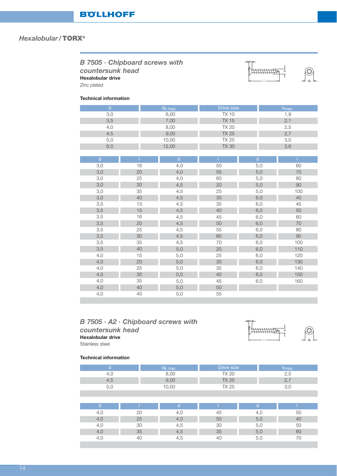| <b>B</b> 7505 · Chipboard screws with<br>countersunk head<br><b>Hexalobular drive</b><br>Zinc plated<br><b>Technical information</b> |     | 70         |                   |                |  |
|--------------------------------------------------------------------------------------------------------------------------------------|-----|------------|-------------------|----------------|--|
|                                                                                                                                      |     | $d_k$ max. | <b>Drive size</b> | $k_{\sf max.}$ |  |
|                                                                                                                                      | 3,0 | 6,00       | TX 10             | 1.9            |  |
|                                                                                                                                      | 3,5 | 7,00       | <b>TX 15</b>      | 2,             |  |

| 4,0          |        | 8,00         | <b>TX 20</b> |              | 2,5 |  |
|--------------|--------|--------------|--------------|--------------|-----|--|
| 4,5          |        | 9,00         | <b>TX 25</b> |              | 2,7 |  |
| 5,0          |        | 10,00        | <b>TX 25</b> |              | 3,0 |  |
| 6,0          |        | 12,00        | <b>TX 30</b> |              | 3,6 |  |
|              |        |              |              |              |     |  |
| $\mathsf{d}$ |        | $\mathsf{d}$ | т            | $\mathsf{d}$ |     |  |
| 3,0          | 16     | 4,0          | 50           | 5,0          | 60  |  |
| 3,0          | 20     | 4,0          | 55           | 5,0          | 70  |  |
| 3,0          | 25     | 4,0          | 60           | 5,0          | 80  |  |
| 3,0          | 30     | 4,5          | 20           | 5,0          | 90  |  |
| 3,0          | 35     | 4,5          | 25           | 5,0          | 100 |  |
| 3,0          | 40     | 4,5          | 30           | 6,0          | 40  |  |
| 3,5          | 13     | 4,5          | 35           | 6,0          | 45  |  |
| 3,5          | 15     | 4,5          | 40           | 6,0          | 50  |  |
| 3,5          | 16     | 4,5          | 45           | 6,0          | 60  |  |
| 3,5          | 20     | 4,5          | 50           | 6,0          | 70  |  |
| 3,5          | 25     | 4,5          | 55           | 6,0          | 80  |  |
| 3,5          | 30     | 4,5          | 60           | 6,0          | 90  |  |
| 3,5          | 35     | 4,5          | 70           | 6,0          | 100 |  |
| 3,5          | 40     | 5,0          | 20           | 6,0          | 110 |  |
| 4,0          | 15     | 5,0          | 25           | 6,0          | 120 |  |
| 4,0          | 20     | 5,0          | 30           | 6,0          | 130 |  |
| 4,0          | 25     | 5,0          | 35           | 6,0          | 140 |  |
| 4,0          | $30\,$ | 5,0          | 40           | 6,0          | 150 |  |
| 4,0          | 35     | 5,0          | 45           | 6,0          | 160 |  |
| 4,0          | 40     | 5,0          | 50           |              |     |  |
| 4,0          | 45     | 5,0          | 55           |              |     |  |
|              |        |              |              |              |     |  |

# *B 7505 · A2 · Chipboard screws with countersunk head* **Hexalobular drive**



dk

Stainless steel

| d         |    | $d_k$ max. | Drive size   |     | $k_{\text{max}}$ |    |
|-----------|----|------------|--------------|-----|------------------|----|
| 4,0       |    | 8,00       | <b>TX 20</b> |     | 2,5              |    |
| 4,5       |    | 9,00       | <b>TX 25</b> |     | 2,7              |    |
| 5,0       |    | 10,00      | <b>TX 25</b> |     | 3,0              |    |
|           |    |            |              |     |                  |    |
|           |    |            |              |     |                  |    |
| d         |    | d          |              | d   |                  |    |
| 4,0       | 20 | 4,0        | 45           | 4,5 |                  | 50 |
| 4,0       | 25 | 4,0        | 50           | 5,0 |                  | 40 |
| 4,0       | 30 | 4,5        | 30           | 5,0 |                  | 50 |
| 4,0       | 35 | 4,5        | 35           | 5,0 |                  | 60 |
| 40<br>4,0 |    | 4,5        | 40           | 5,0 |                  | 70 |
|           |    |            |              |     |                  |    |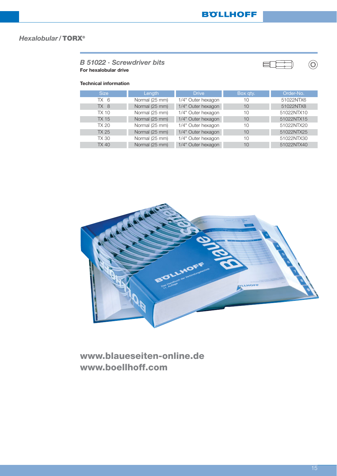## *B 51022 · Screwdriver bits* **For hexalobular drive**

## **Technical information**

| <b>Size</b>     | Length         | <b>Drive</b>       | Box gty. | Order-No.  |
|-----------------|----------------|--------------------|----------|------------|
| TX 6            | Normal (25 mm) | 1/4" Outer hexagon | 10       | 51022NTX6  |
| TX <sub>8</sub> | Normal (25 mm) | 1/4" Outer hexagon | 10       | 51022NTX8  |
| TX 10           | Normal (25 mm) | 1/4" Outer hexagon | 10       | 51022NTX10 |
| <b>TX 15</b>    | Normal (25 mm) | 1/4" Outer hexagon | 10       | 51022NTX15 |
| TX 20           | Normal (25 mm) | 1/4" Outer hexagon | 10       | 51022NTX20 |
| TX 25           | Normal (25 mm) | 1/4" Outer hexagon | 10       | 51022NTX25 |
| <b>TX 30</b>    | Normal (25 mm) | 1/4" Outer hexagon | 10       | 51022NTX30 |
| <b>TX 40</b>    | Normal (25 mm) | 1/4" Outer hexagon | 10       | 51022NTX40 |



**www.blaueseiten-online.de www.boellhoff.com**

 $\begin{picture}(40,40) \put(0,0){\line(1,0){155}} \put(0,0){\line(1,0){155}} \put(0,0){\line(1,0){155}} \put(0,0){\line(1,0){155}} \put(0,0){\line(1,0){155}} \put(0,0){\line(1,0){155}} \put(0,0){\line(1,0){155}} \put(0,0){\line(1,0){155}} \put(0,0){\line(1,0){155}} \put(0,0){\line(1,0){155}} \put(0,0){\line(1,0){155}} \put(0,0){\line(1$ 

E